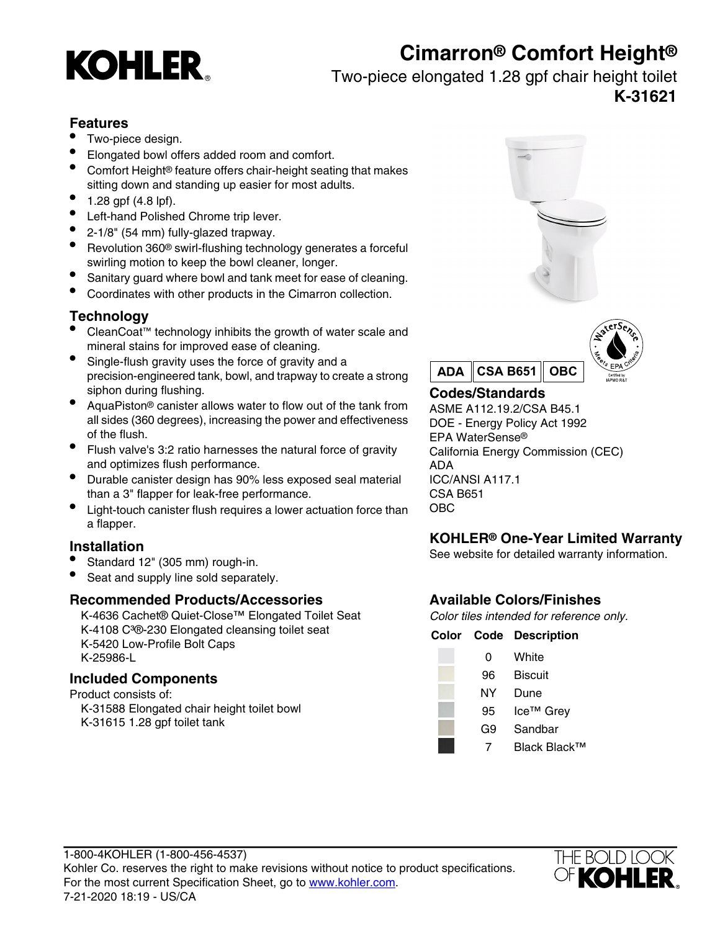# **Cimarron® Comfort Height®**



## Two-piece elongated 1.28 gpf chair height toilet **K-31621**

## **Features**

- Two-piece design.
- Elongated bowl offers added room and comfort.
- Comfort Height® feature offers chair-height seating that makes sitting down and standing up easier for most adults.
- $1.28$  gpf  $(4.8 \text{ lpf})$ .
- Left-hand Polished Chrome trip lever.
- 2-1/8" (54 mm) fully-glazed trapway.
- Revolution 360® swirl-flushing technology generates a forceful swirling motion to keep the bowl cleaner, longer.
- Sanitary guard where bowl and tank meet for ease of cleaning.
- Coordinates with other products in the Cimarron collection.

## **Technology**

- CleanCoat™ technology inhibits the growth of water scale and mineral stains for improved ease of cleaning.
- Single-flush gravity uses the force of gravity and a precision-engineered tank, bowl, and trapway to create a strong siphon during flushing. **Codes/Standards**
- AquaPiston® canister allows water to flow out of the tank from all sides (360 degrees), increasing the power and effectiveness of the flush.
- Flush valve's 3:2 ratio harnesses the natural force of gravity and optimizes flush performance.
- Durable canister design has 90% less exposed seal material ICC/ANSI A117.1 than a 3" flapper for leak-free performance. CSA B651
- Light-touch canister flush requires a lower actuation force than OBC a flapper.

- 
- Seat and supply line sold separately.

## **Recommended Products/Accessories Available Colors/Finishes**

K-4636 Cachet® Quiet-Close™ Elongated Toilet Seat Color tiles intended for reference only. K-4108 C<sup>3</sup>®-230 Elongated cleansing toilet seat **Color Code Description**<br>K-5420 Low-Profile Bolt Caps K-25986-L 0 White

## **Included Components**

Product consists of: K-31588 Elongated chair height toilet bowl K-31615 1.28 gpf toilet tank





ASME A112.19.2/CSA B45.1 DOE - Energy Policy Act 1992 EPA WaterSense® California Energy Commission (CEC) ADA

# **KOHLER® One-Year Limited Warranty Installation** See website for detailed warranty information. • Standard 12" (305 mm) rough-in.

| 0  | White     |
|----|-----------|
| 96 | Biscuit   |
| ΝY | Dune      |
| 95 | Ice™ Grey |
| G9 | Sandbar   |
|    |           |

7 Black Black™